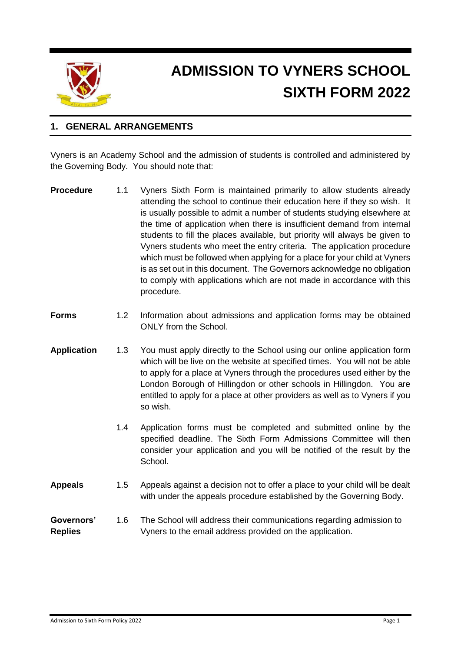

# **ADMISSION TO VYNERS SCHOOL SIXTH FORM 2022**

## **1. GENERAL ARRANGEMENTS**

Vyners is an Academy School and the admission of students is controlled and administered by the Governing Body. You should note that:

| <b>Procedure</b> | 1.1 | Vyners Sixth Form is maintained primarily to allow students already         |
|------------------|-----|-----------------------------------------------------------------------------|
|                  |     | attending the school to continue their education here if they so wish. It   |
|                  |     | is usually possible to admit a number of students studying elsewhere at     |
|                  |     | the time of application when there is insufficient demand from internal     |
|                  |     | students to fill the places available, but priority will always be given to |
|                  |     | Vyners students who meet the entry criteria. The application procedure      |
|                  |     | which must be followed when applying for a place for your child at Vyners   |
|                  |     | is as set out in this document. The Governors acknowledge no obligation     |
|                  |     | to comply with applications which are not made in accordance with this      |
|                  |     | procedure.                                                                  |

- **Forms** 1.2 Information about admissions and application forms may be obtained ONLY from the School.
- **Application** 1.3 You must apply directly to the School using our online application form which will be live on the website at specified times. You will not be able to apply for a place at Vyners through the procedures used either by the London Borough of Hillingdon or other schools in Hillingdon. You are entitled to apply for a place at other providers as well as to Vyners if you so wish.
	- 1.4 Application forms must be completed and submitted online by the specified deadline. The Sixth Form Admissions Committee will then consider your application and you will be notified of the result by the School.
- **Appeals** 1.5 Appeals against a decision not to offer a place to your child will be dealt with under the appeals procedure established by the Governing Body.

**Governors'** 1.6 The School will address their communications regarding admission to **Replies** Vyners to the email address provided on the application.